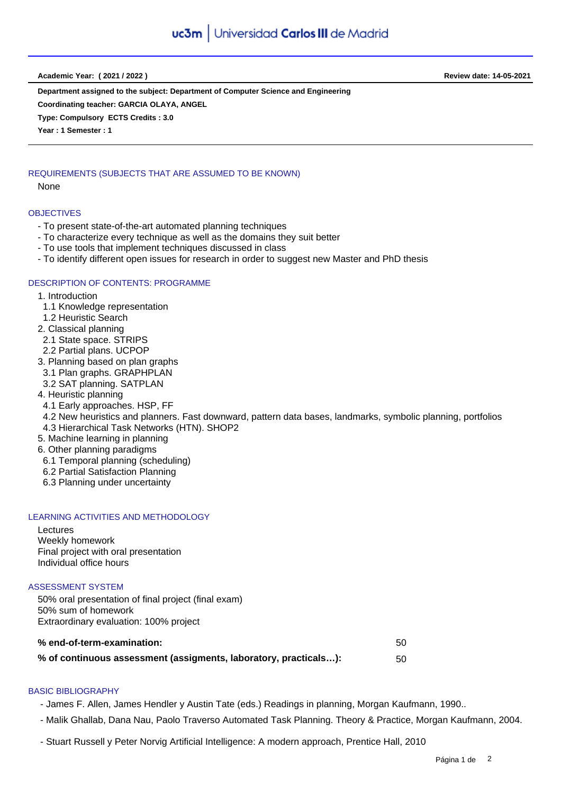**Academic Year: ( 2021 / 2022 ) Review date: 14-05-2021**

**Department assigned to the subject: Department of Computer Science and Engineering Coordinating teacher: GARCIA OLAYA, ANGEL**

**Type: Compulsory ECTS Credits : 3.0**

**Year : 1 Semester : 1**

# REQUIREMENTS (SUBJECTS THAT ARE ASSUMED TO BE KNOWN)

None

#### **OBJECTIVES**

- To present state-of-the-art automated planning techniques
- To characterize every technique as well as the domains they suit better
- To use tools that implement techniques discussed in class
- To identify different open issues for research in order to suggest new Master and PhD thesis

#### DESCRIPTION OF CONTENTS: PROGRAMME

- 1. Introduction
- 1.1 Knowledge representation
- 1.2 Heuristic Search
- 2. Classical planning
- 2.1 State space. STRIPS
- 2.2 Partial plans. UCPOP
- 3. Planning based on plan graphs
- 3.1 Plan graphs. GRAPHPLAN
- 3.2 SAT planning. SATPLAN
- 4. Heuristic planning
- 4.1 Early approaches. HSP, FF
- 4.2 New heuristics and planners. Fast downward, pattern data bases, landmarks, symbolic planning, portfolios
- 4.3 Hierarchical Task Networks (HTN). SHOP2
- 5. Machine learning in planning
- 6. Other planning paradigms
- 6.1 Temporal planning (scheduling)
- 6.2 Partial Satisfaction Planning
- 6.3 Planning under uncertainty

# LEARNING ACTIVITIES AND METHODOLOGY

Lectures Weekly homework Final project with oral presentation Individual office hours

#### ASSESSMENT SYSTEM

50% oral presentation of final project (final exam) 50% sum of homework Extraordinary evaluation: 100% project

| % end-of-term-examination:                                       | -50 |
|------------------------------------------------------------------|-----|
| % of continuous assessment (assigments, laboratory, practicals): | 50  |

# BASIC BIBLIOGRAPHY

- James F. Allen, James Hendler y Austin Tate (eds.) Readings in planning, Morgan Kaufmann, 1990..

- Malik Ghallab, Dana Nau, Paolo Traverso Automated Task Planning. Theory & Practice, Morgan Kaufmann, 2004.
- Stuart Russell y Peter Norvig Artificial Intelligence: A modern approach, Prentice Hall, 2010